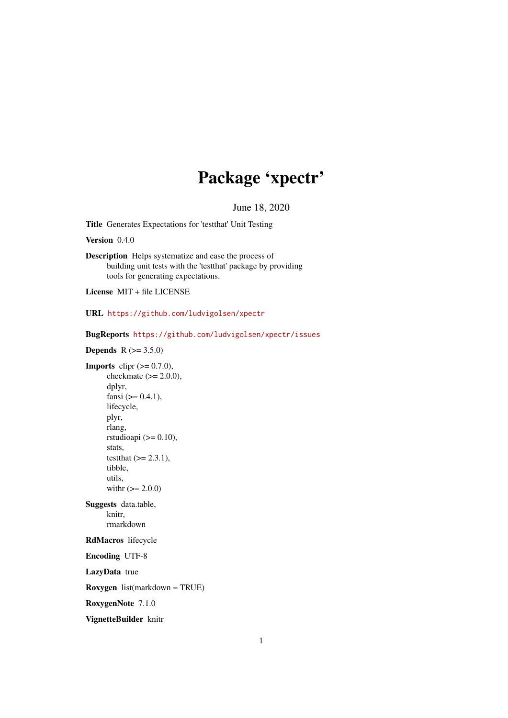## Package 'xpectr'

June 18, 2020

<span id="page-0-0"></span>Title Generates Expectations for 'testthat' Unit Testing

Version 0.4.0

Description Helps systematize and ease the process of building unit tests with the 'testthat' package by providing tools for generating expectations.

License MIT + file LICENSE

URL <https://github.com/ludvigolsen/xpectr>

BugReports <https://github.com/ludvigolsen/xpectr/issues>

**Depends**  $R (= 3.5.0)$ 

**Imports** clipr  $(>= 0.7.0)$ , checkmate  $(>= 2.0.0)$ , dplyr, fansi  $(>= 0.4.1)$ , lifecycle, plyr, rlang, rstudioapi  $(>= 0.10)$ , stats, testthat  $(>= 2.3.1)$ , tibble, utils, with  $(>= 2.0.0)$ Suggests data.table, knitr, rmarkdown RdMacros lifecycle Encoding UTF-8 LazyData true Roxygen list(markdown = TRUE) RoxygenNote 7.1.0

VignetteBuilder knitr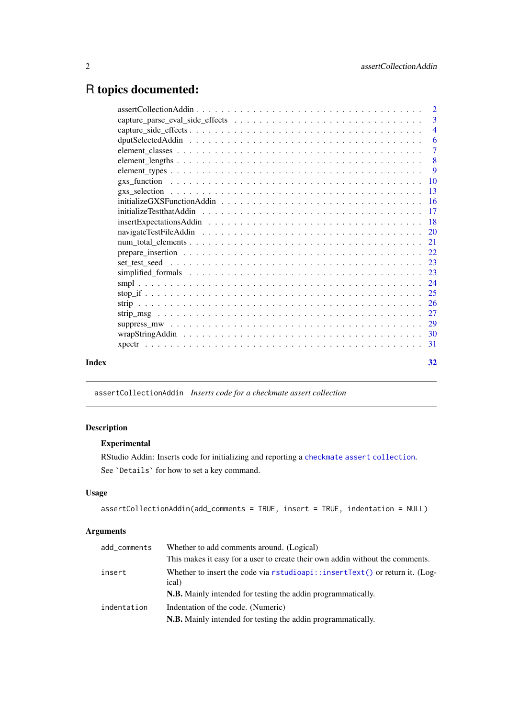## <span id="page-1-0"></span>R topics documented:

|       | $\overline{9}$ |
|-------|----------------|
|       |                |
|       |                |
|       |                |
|       |                |
|       |                |
|       |                |
|       |                |
|       |                |
|       |                |
|       |                |
|       |                |
|       |                |
|       |                |
|       |                |
|       |                |
|       |                |
|       |                |
| Index | 32             |
|       |                |

<span id="page-1-1"></span>assertCollectionAddin *Inserts code for a checkmate assert collection*

## Description

## Experimental

RStudio Addin: Inserts code for initializing and reporting a [checkmate assert collection](#page-0-0). See `Details` for how to set a key command.

## Usage

```
assertCollectionAddin(add_comments = TRUE, insert = TRUE, indentation = NULL)
```
## Arguments

| add_comments | Whether to add comments around. (Logical)                                                                 |
|--------------|-----------------------------------------------------------------------------------------------------------|
|              | This makes it easy for a user to create their own addin without the comments.                             |
| insert       | Whether to insert the code via $rstudioapi::insertText()$ or return it. (Log-<br>ical)                    |
|              | <b>N.B.</b> Mainly intended for testing the addin programmatically.                                       |
| indentation  | Indentation of the code. (Numeric)<br><b>N.B.</b> Mainly intended for testing the addin programmatically. |
|              |                                                                                                           |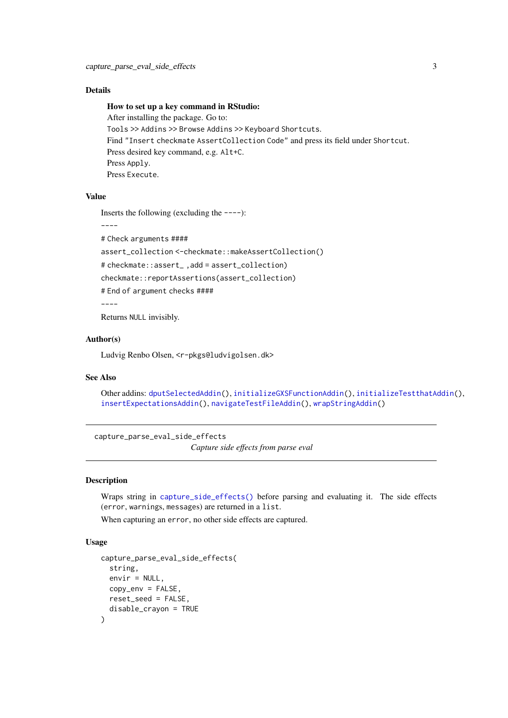#### <span id="page-2-0"></span>Details

## How to set up a key command in RStudio:

After installing the package. Go to: Tools >> Addins >> Browse Addins >> Keyboard Shortcuts. Find "Insert checkmate AssertCollection Code" and press its field under Shortcut. Press desired key command, e.g. Alt+C. Press Apply. Press Execute.

## Value

Inserts the following (excluding the  $---$ ):

----

# Check arguments ####

assert\_collection <-checkmate::makeAssertCollection()

# checkmate::assert\_ ,add = assert\_collection)

checkmate::reportAssertions(assert\_collection)

# End of argument checks ####

----

Returns NULL invisibly.

#### Author(s)

Ludvig Renbo Olsen, <r-pkgs@ludvigolsen.dk>

#### See Also

Other addins: [dputSelectedAddin\(](#page-5-1)), [initializeGXSFunctionAddin\(](#page-15-1)), [initializeTestthatAddin\(](#page-16-1)), [insertExpectationsAddin\(](#page-17-1)), [navigateTestFileAddin\(](#page-19-1)), [wrapStringAddin\(](#page-29-1))

<span id="page-2-1"></span>capture\_parse\_eval\_side\_effects *Capture side effects from parse eval*

#### Description

Wraps string in [capture\\_side\\_effects\(\)](#page-0-0) before parsing and evaluating it. The side effects (error, warnings, messages) are returned in a list.

When capturing an error, no other side effects are captured.

#### Usage

```
capture_parse_eval_side_effects(
  string,
  envir = NULL,copy\_env = FALSE,
  reset_seed = FALSE,
  disable_crayon = TRUE
)
```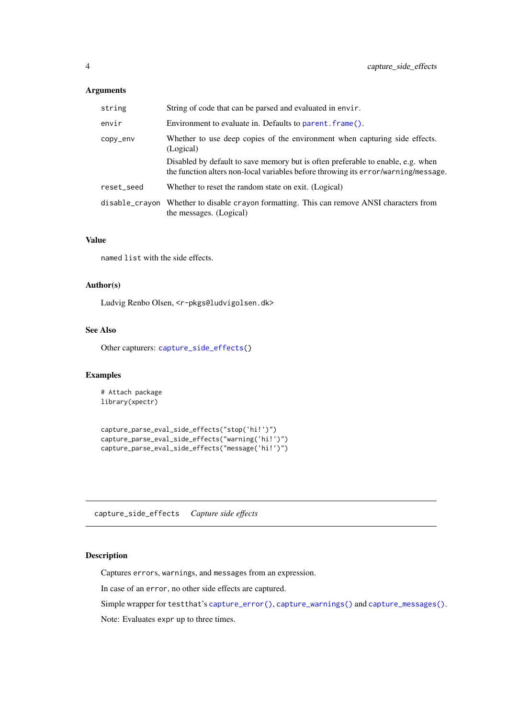## <span id="page-3-0"></span>Arguments

| string     | String of code that can be parsed and evaluated in envir.                                                                                                             |  |
|------------|-----------------------------------------------------------------------------------------------------------------------------------------------------------------------|--|
| envir      | Environment to evaluate in. Defaults to parent. frame().                                                                                                              |  |
| copy_env   | Whether to use deep copies of the environment when capturing side effects.<br>(Logical)                                                                               |  |
|            | Disabled by default to save memory but is often preferable to enable, e.g. when<br>the function alters non-local variables before throwing its error/warning/message. |  |
| reset_seed | Whether to reset the random state on exit. (Logical)                                                                                                                  |  |
|            | disable_crayon Whether to disable crayon formatting. This can remove ANSI characters from<br>the messages. (Logical)                                                  |  |

## Value

named list with the side effects.

## Author(s)

Ludvig Renbo Olsen, <r-pkgs@ludvigolsen.dk>

#### See Also

Other capturers: [capture\\_side\\_effects\(](#page-3-1))

#### Examples

# Attach package library(xpectr)

```
capture_parse_eval_side_effects("stop('hi!')")
capture_parse_eval_side_effects("warning('hi!')")
capture_parse_eval_side_effects("message('hi!')")
```
<span id="page-3-1"></span>capture\_side\_effects *Capture side effects*

## Description

Captures errors, warnings, and messages from an expression.

In case of an error, no other side effects are captured.

Simple wrapper for testthat's [capture\\_error\(\)](#page-0-0), [capture\\_warnings\(\)](#page-0-0) and [capture\\_messages\(\)](#page-0-0).

Note: Evaluates expr up to three times.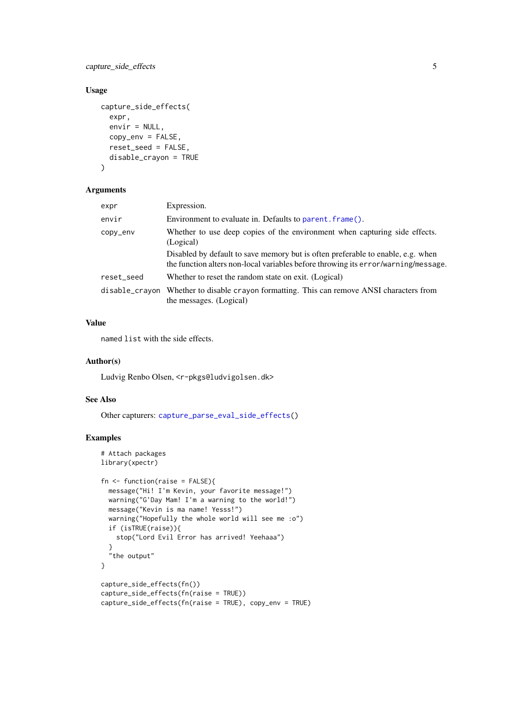## <span id="page-4-0"></span>capture\_side\_effects 5

## Usage

```
capture_side_effects(
  expr,
  envir = NULL,
  copy_env = FALSE,
  reset_seed = FALSE,
  disable_crayon = TRUE
\lambda
```
## Arguments

| expr           | Expression.                                                                                                                                                                                                                                                      |  |
|----------------|------------------------------------------------------------------------------------------------------------------------------------------------------------------------------------------------------------------------------------------------------------------|--|
| envir          | Environment to evaluate in. Defaults to parent, frame().                                                                                                                                                                                                         |  |
| copy_env       | Whether to use deep copies of the environment when capturing side effects.<br>(Logical)<br>Disabled by default to save memory but is often preferable to enable, e.g. when<br>the function alters non-local variables before throwing its error/warning/message. |  |
| reset_seed     | Whether to reset the random state on exit. (Logical)                                                                                                                                                                                                             |  |
| disable_crayon | Whether to disable crayon formatting. This can remove ANSI characters from<br>the messages. (Logical)                                                                                                                                                            |  |

## Value

named list with the side effects.

#### Author(s)

Ludvig Renbo Olsen, <r-pkgs@ludvigolsen.dk>

## See Also

Other capturers: [capture\\_parse\\_eval\\_side\\_effects\(](#page-2-1))

```
# Attach packages
library(xpectr)
fn \leq function(raise = FALSE){
  message("Hi! I'm Kevin, your favorite message!")
  warning("G'Day Mam! I'm a warning to the world!")
  message("Kevin is ma name! Yesss!")
  warning("Hopefully the whole world will see me :o")
  if (isTRUE(raise)){
    stop("Lord Evil Error has arrived! Yeehaaa")
  }
  "the output"
}
capture side effects(fn())
capture_side_effects(fn(raise = TRUE))
capture_side_effects(fn(raise = TRUE), copy_env = TRUE)
```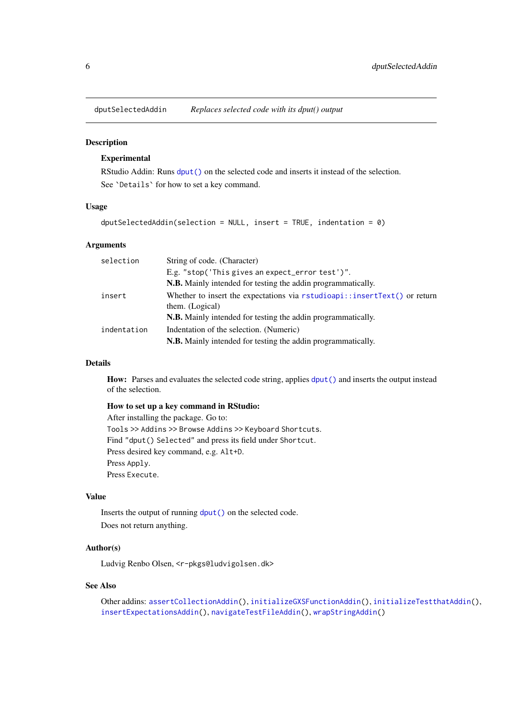<span id="page-5-1"></span><span id="page-5-0"></span>dputSelectedAddin *Replaces selected code with its dput() output*

#### Description

## Experimental

RStudio Addin: Runs [dput\(\)](#page-0-0) on the selected code and inserts it instead of the selection. See `Details` for how to set a key command.

#### Usage

```
dputSelectedAddin(selection = NULL, insert = TRUE, indentation = 0)
```
#### Arguments

| selection   | String of code. (Character)                                                                  |  |
|-------------|----------------------------------------------------------------------------------------------|--|
|             | E.g. "stop('This gives an expect_error test')".                                              |  |
|             | <b>N.B.</b> Mainly intended for testing the addin programmatically.                          |  |
| insert      | Whether to insert the expectations via rstudioapi::insertText() or return<br>them. (Logical) |  |
|             | <b>N.B.</b> Mainly intended for testing the addin programmatically.                          |  |
| indentation | Indentation of the selection. (Numeric)                                                      |  |
|             | <b>N.B.</b> Mainly intended for testing the addin programmatically.                          |  |

#### Details

How: Parses and evaluates the selected code string, applies  $\frac{dput}{dx}$  and inserts the output instead of the selection.

## How to set up a key command in RStudio:

After installing the package. Go to: Tools >> Addins >> Browse Addins >> Keyboard Shortcuts. Find "dput() Selected" and press its field under Shortcut. Press desired key command, e.g. Alt+D. Press Apply. Press Execute.

## Value

Inserts the output of running [dput\(\)](#page-0-0) on the selected code. Does not return anything.

#### Author(s)

Ludvig Renbo Olsen, <r-pkgs@ludvigolsen.dk>

#### See Also

```
Other addins: assertCollectionAddin(), initializeGXSFunctionAddin(), initializeTestthatAddin(),
insertExpectationsAddin(), navigateTestFileAddin(), wrapStringAddin()
```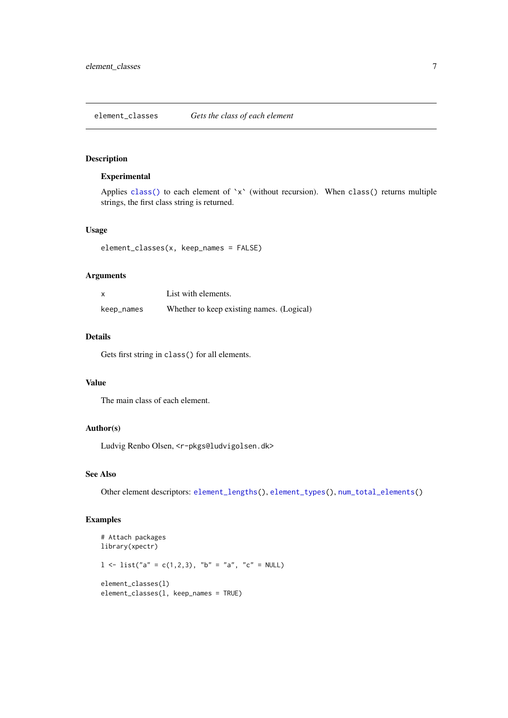<span id="page-6-1"></span><span id="page-6-0"></span>element\_classes *Gets the class of each element*

## Description

#### Experimental

Applies [class\(\)](#page-0-0) to each element of `x` (without recursion). When class() returns multiple strings, the first class string is returned.

## Usage

element\_classes(x, keep\_names = FALSE)

## Arguments

| x          | List with elements.                       |
|------------|-------------------------------------------|
| keep_names | Whether to keep existing names. (Logical) |

#### Details

Gets first string in class() for all elements.

## Value

The main class of each element.

## Author(s)

Ludvig Renbo Olsen, <r-pkgs@ludvigolsen.dk>

#### See Also

Other element descriptors: [element\\_lengths\(](#page-7-1)), [element\\_types\(](#page-8-1)), [num\\_total\\_elements\(](#page-20-1))

```
# Attach packages
library(xpectr)
1 \le list("a" = c(1,2,3), "b" = "a", "c" = NULL)
element_classes(l)
element_classes(l, keep_names = TRUE)
```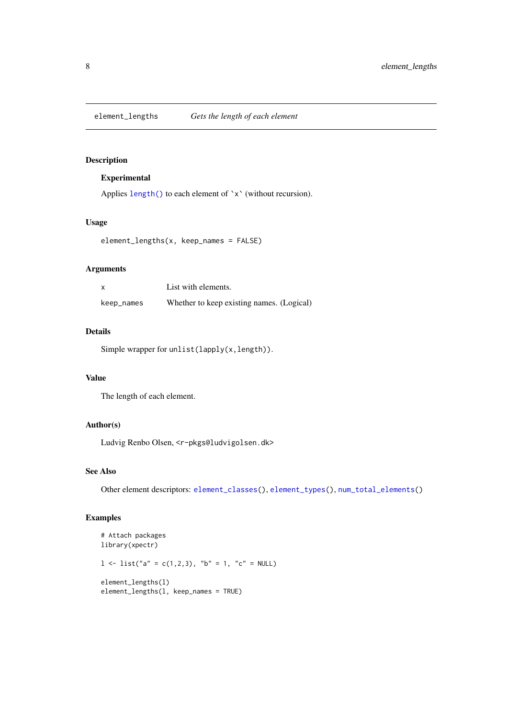<span id="page-7-1"></span><span id="page-7-0"></span>

## Experimental

Applies [length\(\)](#page-0-0) to each element of `x` (without recursion).

## Usage

element\_lengths(x, keep\_names = FALSE)

## Arguments

|            | List with elements.                       |
|------------|-------------------------------------------|
| keep_names | Whether to keep existing names. (Logical) |

## Details

Simple wrapper for unlist(lapply(x,length)).

## Value

The length of each element.

## Author(s)

Ludvig Renbo Olsen, <r-pkgs@ludvigolsen.dk>

## See Also

Other element descriptors: [element\\_classes\(](#page-6-1)), [element\\_types\(](#page-8-1)), [num\\_total\\_elements\(](#page-20-1))

```
# Attach packages
library(xpectr)
1 \le list("a" = c(1,2,3), "b" = 1, "c" = NULL)
element_lengths(l)
element_lengths(l, keep_names = TRUE)
```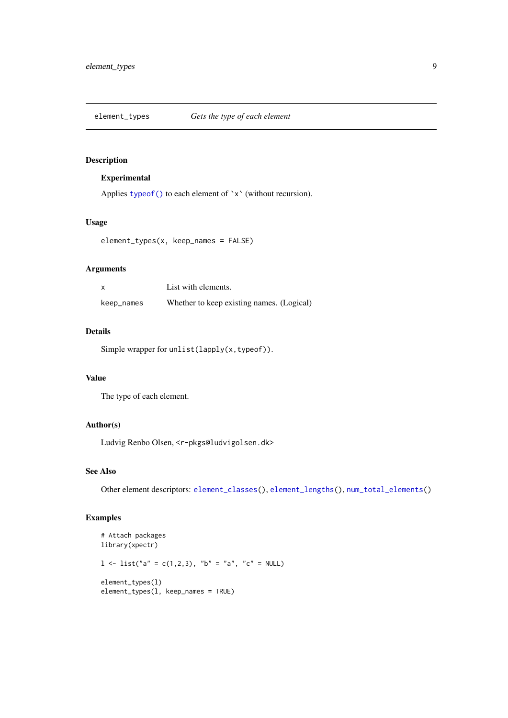<span id="page-8-1"></span><span id="page-8-0"></span>

## Experimental

Applies [typeof\(\)](#page-0-0) to each element of `x` (without recursion).

## Usage

element\_types(x, keep\_names = FALSE)

## Arguments

|            | List with elements.                       |
|------------|-------------------------------------------|
| keep_names | Whether to keep existing names. (Logical) |

## Details

Simple wrapper for unlist(lapply(x,typeof)).

## Value

The type of each element.

## Author(s)

Ludvig Renbo Olsen, <r-pkgs@ludvigolsen.dk>

#### See Also

Other element descriptors: [element\\_classes\(](#page-6-1)), [element\\_lengths\(](#page-7-1)), [num\\_total\\_elements\(](#page-20-1))

```
# Attach packages
library(xpectr)
1 \le list("a" = c(1,2,3), "b" = "a", "c" = NULL)
element_types(l)
element_types(l, keep_names = TRUE)
```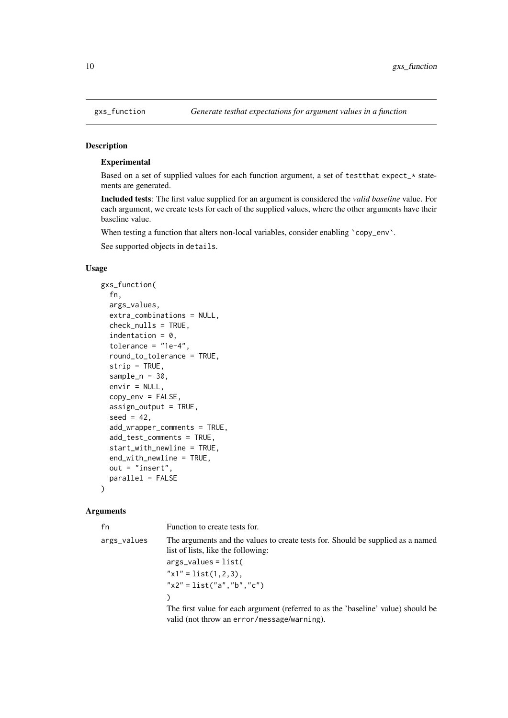## Experimental

Based on a set of supplied values for each function argument, a set of testthat expect\_\* statements are generated.

Included tests: The first value supplied for an argument is considered the *valid baseline* value. For each argument, we create tests for each of the supplied values, where the other arguments have their baseline value.

When testing a function that alters non-local variables, consider enabling `copy\_env`.

See supported objects in details.

## Usage

```
gxs_function(
  fn,
  args_values,
  extra_combinations = NULL,
  check_nulls = TRUE,
  indentation = 0,
  tolerance = "1e-4",round_to_tolerance = TRUE,
  strip = TRUE,
  sample_n = 30,
  envir = NULL,
  copy_env = FALSE,
  assign_output = TRUE,
  seed = 42,
  add_wrapper_comments = TRUE,
  add_test_comments = TRUE,
  start_with_newline = TRUE,
  end_with_newline = TRUE,
  out = "insert",
  parallel = FALSE
\lambda
```
## Arguments

| fn          | Function to create tests for.                                                                                         |  |  |
|-------------|-----------------------------------------------------------------------------------------------------------------------|--|--|
| args_values | The arguments and the values to create tests for. Should be supplied as a named<br>list of lists, like the following: |  |  |
|             | $args_values = list($                                                                                                 |  |  |
|             | $"x1" = list(1,2,3).$                                                                                                 |  |  |
|             | $"x2" = list("a", "b", "c")$                                                                                          |  |  |
|             |                                                                                                                       |  |  |
|             | The first value for each aroument (referred to as the 'baseline' value) should be                                     |  |  |

The first value for each argument (referred to as the 'baseline' value) should be valid (not throw an error/message/warning).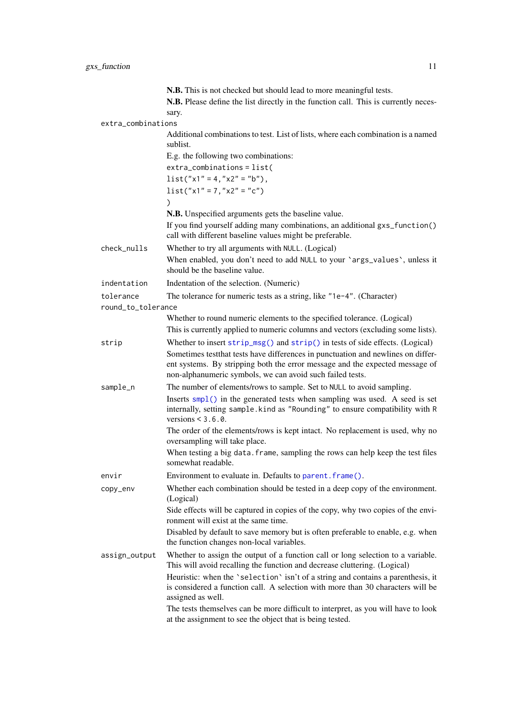<span id="page-10-0"></span>

|                    | N.B. This is not checked but should lead to more meaningful tests.                                                                                                                                                             |
|--------------------|--------------------------------------------------------------------------------------------------------------------------------------------------------------------------------------------------------------------------------|
|                    | N.B. Please define the list directly in the function call. This is currently neces-                                                                                                                                            |
| extra_combinations | sary.                                                                                                                                                                                                                          |
|                    | Additional combinations to test. List of lists, where each combination is a named<br>sublist.                                                                                                                                  |
|                    | E.g. the following two combinations:                                                                                                                                                                                           |
|                    | $extra_{combinations} = list($                                                                                                                                                                                                 |
|                    | $list("x1" = 4," x2" = "b")$ ,                                                                                                                                                                                                 |
|                    | $list("x1" = 7," x2" = "c")$                                                                                                                                                                                                   |
|                    |                                                                                                                                                                                                                                |
|                    | N.B. Unspecified arguments gets the baseline value.                                                                                                                                                                            |
|                    | If you find yourself adding many combinations, an additional gxs_function()<br>call with different baseline values might be preferable.                                                                                        |
| check_nulls        | Whether to try all arguments with NULL. (Logical)                                                                                                                                                                              |
|                    | When enabled, you don't need to add NULL to your 'args_values', unless it<br>should be the baseline value.                                                                                                                     |
| indentation        | Indentation of the selection. (Numeric)                                                                                                                                                                                        |
| tolerance          | The tolerance for numeric tests as a string, like "1e-4". (Character)                                                                                                                                                          |
| round_to_tolerance |                                                                                                                                                                                                                                |
|                    | Whether to round numeric elements to the specified tolerance. (Logical)                                                                                                                                                        |
|                    | This is currently applied to numeric columns and vectors (excluding some lists).                                                                                                                                               |
| strip              | Whether to insert $strip_msg()$ and $strip()$ in tests of side effects. (Logical)                                                                                                                                              |
|                    | Sometimes test that tests have differences in punctuation and newlines on differ-<br>ent systems. By stripping both the error message and the expected message of<br>non-alphanumeric symbols, we can avoid such failed tests. |
| sample_n           | The number of elements/rows to sample. Set to NULL to avoid sampling.                                                                                                                                                          |
|                    | Inserts smp1() in the generated tests when sampling was used. A seed is set<br>internally, setting sample. kind as "Rounding" to ensure compatibility with R<br>versions $\leq 3.6.0$ .                                        |
|                    | The order of the elements/rows is kept intact. No replacement is used, why no<br>oversampling will take place.                                                                                                                 |
|                    | When testing a big data. frame, sampling the rows can help keep the test files<br>somewhat readable.                                                                                                                           |
| envir              | Environment to evaluate in. Defaults to parent. frame().                                                                                                                                                                       |
| copy_env           | Whether each combination should be tested in a deep copy of the environment.<br>(Logical)                                                                                                                                      |
|                    | Side effects will be captured in copies of the copy, why two copies of the envi-<br>ronment will exist at the same time.                                                                                                       |
|                    | Disabled by default to save memory but is often preferable to enable, e.g. when<br>the function changes non-local variables.                                                                                                   |
| assign_output      | Whether to assign the output of a function call or long selection to a variable.<br>This will avoid recalling the function and decrease cluttering. (Logical)                                                                  |
|                    | Heuristic: when the 'selection' isn't of a string and contains a parenthesis, it<br>is considered a function call. A selection with more than 30 characters will be<br>assigned as well.                                       |
|                    | The tests themselves can be more difficult to interpret, as you will have to look<br>at the assignment to see the object that is being tested.                                                                                 |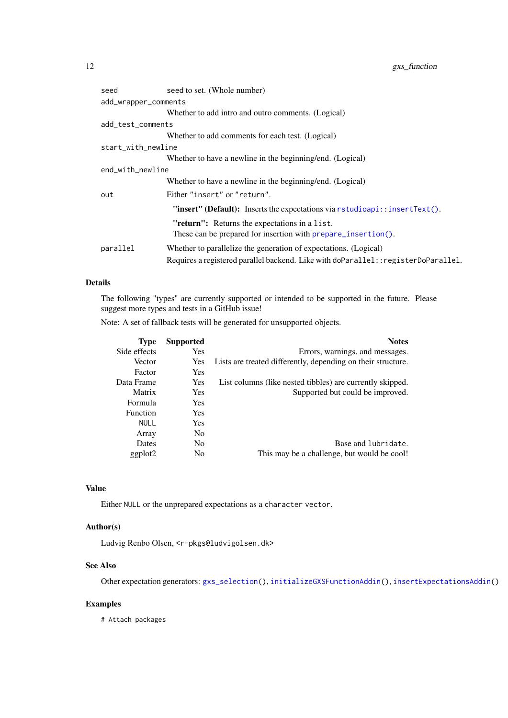<span id="page-11-0"></span>

| seed                 | seed to set. (Whole number)                                                                                    |  |  |
|----------------------|----------------------------------------------------------------------------------------------------------------|--|--|
| add_wrapper_comments |                                                                                                                |  |  |
|                      | Whether to add intro and outro comments. (Logical)                                                             |  |  |
| add_test_comments    |                                                                                                                |  |  |
|                      | Whether to add comments for each test. (Logical)                                                               |  |  |
| start_with_newline   |                                                                                                                |  |  |
|                      | Whether to have a newline in the beginning/end. (Logical)                                                      |  |  |
| end_with_newline     |                                                                                                                |  |  |
|                      | Whether to have a newline in the beginning/end. (Logical)                                                      |  |  |
| out                  | Either "insert" or "return".                                                                                   |  |  |
|                      | "insert" (Default): Inserts the expectations via rstudioapi::insertText().                                     |  |  |
|                      | "return": Returns the expectations in a list.<br>These can be prepared for insertion with prepare_insertion(). |  |  |
| parallel             | Whether to parallelize the generation of expectations. (Logical)                                               |  |  |
|                      | Requires a registered parallel backend. Like with doParallel: : registerDoParallel.                            |  |  |

## Details

The following "types" are currently supported or intended to be supported in the future. Please suggest more types and tests in a GitHub issue!

Note: A set of fallback tests will be generated for unsupported objects.

| <b>Type</b>     | <b>Supported</b> | <b>Notes</b>                                                 |
|-----------------|------------------|--------------------------------------------------------------|
| Side effects    | Yes              | Errors, warnings, and messages.                              |
| Vector          | Yes              | Lists are treated differently, depending on their structure. |
| Factor          | Yes              |                                                              |
| Data Frame      | Yes              | List columns (like nested tibbles) are currently skipped.    |
| Matrix          | <b>Yes</b>       | Supported but could be improved.                             |
| Formula         | <b>Yes</b>       |                                                              |
| <b>Function</b> | <b>Yes</b>       |                                                              |
| <b>NULL</b>     | <b>Yes</b>       |                                                              |
| Array           | N <sub>0</sub>   |                                                              |
| Dates           | N <sub>0</sub>   | Base and lubridate.                                          |
| ggplot2         | N <sub>0</sub>   | This may be a challenge, but would be cool!                  |

## Value

Either NULL or the unprepared expectations as a character vector.

## Author(s)

Ludvig Renbo Olsen, <r-pkgs@ludvigolsen.dk>

## See Also

Other expectation generators: [gxs\\_selection\(](#page-12-1)), [initializeGXSFunctionAddin\(](#page-15-1)), [insertExpectationsAddin\(](#page-17-1))

## Examples

# Attach packages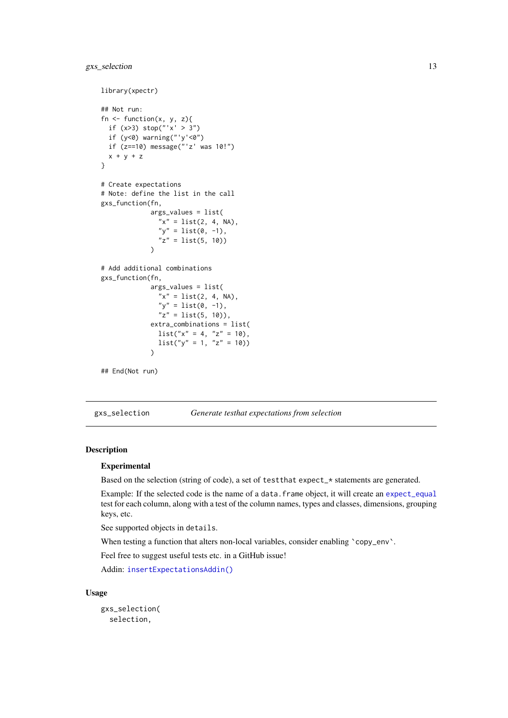#### <span id="page-12-0"></span>gxs\_selection 13

```
library(xpectr)
## Not run:
fn \leq function(x, y, z){
  if (x>3) stop("'x' > 3")
 if (y<0) warning("'y'<0")
 if (z==10) message("'z' was 10!")
 x + y + z}
# Create expectations
# Note: define the list in the call
gxs_function(fn,
             args_values = list(
               "x" = list(2, 4, NA),"y" = list(0, -1),
               "z" = list(5, 10)\lambda# Add additional combinations
gxs_function(fn,
             args_values = list(
               ''x'' = list(2, 4, NA),"y" = list(0, -1),
               "z" = list(5, 10),
             extra_combinations = list(
               list("x" = 4, "z" = 10),list("y" = 1, "z" = 10))\lambda## End(Not run)
```
<span id="page-12-1"></span>gxs\_selection *Generate testhat expectations from selection*

#### Description

#### Experimental

Based on the selection (string of code), a set of test that expect\_\* statements are generated.

Example: If the selected code is the name of a data.frame object, it will create an [expect\\_equal](#page-0-0) test for each column, along with a test of the column names, types and classes, dimensions, grouping keys, etc.

See supported objects in details.

When testing a function that alters non-local variables, consider enabling `copy\_env`.

Feel free to suggest useful tests etc. in a GitHub issue!

Addin: [insertExpectationsAddin\(\)](#page-0-0)

## Usage

```
gxs_selection(
 selection,
```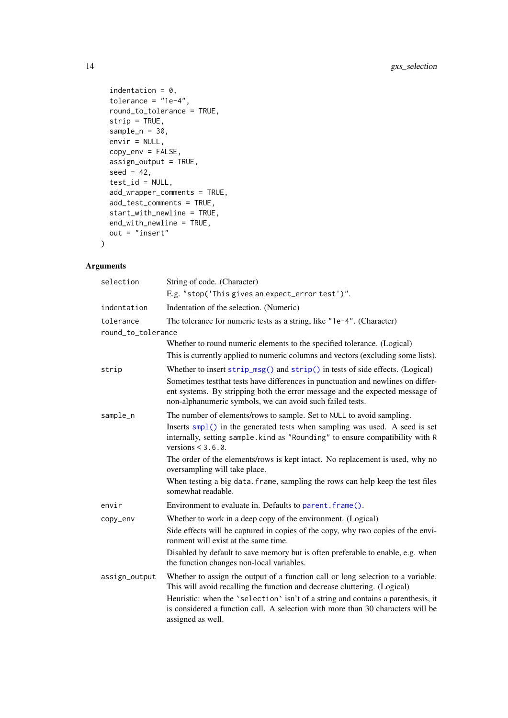```
indentation = 0,
  tolerance = "1e-4",
  round_to_tolerance = TRUE,
  strip = TRUE,
  sample_n = 30,
  envir = NULL,
  copy_env = FALSE,
  assign\_output = TRUE,seed = 42,
  test_id = NULL,add_wrapper_comments = TRUE,
  add_test_comments = TRUE,
  start_with_newline = TRUE,
  end_with_newline = TRUE,
  out = "insert"
\lambda
```
## Arguments

| selection          | String of code. (Character)                                                                                                                                                                                                                                                                                                                               |
|--------------------|-----------------------------------------------------------------------------------------------------------------------------------------------------------------------------------------------------------------------------------------------------------------------------------------------------------------------------------------------------------|
|                    | E.g. "stop('This gives an expect_error test')".                                                                                                                                                                                                                                                                                                           |
| indentation        | Indentation of the selection. (Numeric)                                                                                                                                                                                                                                                                                                                   |
| tolerance          | The tolerance for numeric tests as a string, like "1e-4". (Character)                                                                                                                                                                                                                                                                                     |
| round_to_tolerance |                                                                                                                                                                                                                                                                                                                                                           |
|                    | Whether to round numeric elements to the specified tolerance. (Logical)                                                                                                                                                                                                                                                                                   |
|                    | This is currently applied to numeric columns and vectors (excluding some lists).                                                                                                                                                                                                                                                                          |
| strip              | Whether to insert strip_msg() and strip() in tests of side effects. (Logical)                                                                                                                                                                                                                                                                             |
|                    | Sometimes test that tests have differences in punctuation and newlines on differ-<br>ent systems. By stripping both the error message and the expected message of<br>non-alphanumeric symbols, we can avoid such failed tests.                                                                                                                            |
| sample_n           | The number of elements/rows to sample. Set to NULL to avoid sampling.                                                                                                                                                                                                                                                                                     |
|                    | Inserts smp1() in the generated tests when sampling was used. A seed is set<br>internally, setting sample. kind as "Rounding" to ensure compatibility with R<br>versions $\leq 3.6.0$ .                                                                                                                                                                   |
|                    | The order of the elements/rows is kept intact. No replacement is used, why no<br>oversampling will take place.                                                                                                                                                                                                                                            |
|                    | When testing a big data. frame, sampling the rows can help keep the test files<br>somewhat readable.                                                                                                                                                                                                                                                      |
| envir              | Environment to evaluate in. Defaults to parent. frame().                                                                                                                                                                                                                                                                                                  |
| copy_env           | Whether to work in a deep copy of the environment. (Logical)                                                                                                                                                                                                                                                                                              |
|                    | Side effects will be captured in copies of the copy, why two copies of the envi-<br>ronment will exist at the same time.                                                                                                                                                                                                                                  |
|                    | Disabled by default to save memory but is often preferable to enable, e.g. when<br>the function changes non-local variables.                                                                                                                                                                                                                              |
| assign_output      | Whether to assign the output of a function call or long selection to a variable.<br>This will avoid recalling the function and decrease cluttering. (Logical)<br>Heuristic: when the 'selection' isn't of a string and contains a parenthesis, it<br>is considered a function call. A selection with more than 30 characters will be<br>assigned as well. |

<span id="page-13-0"></span>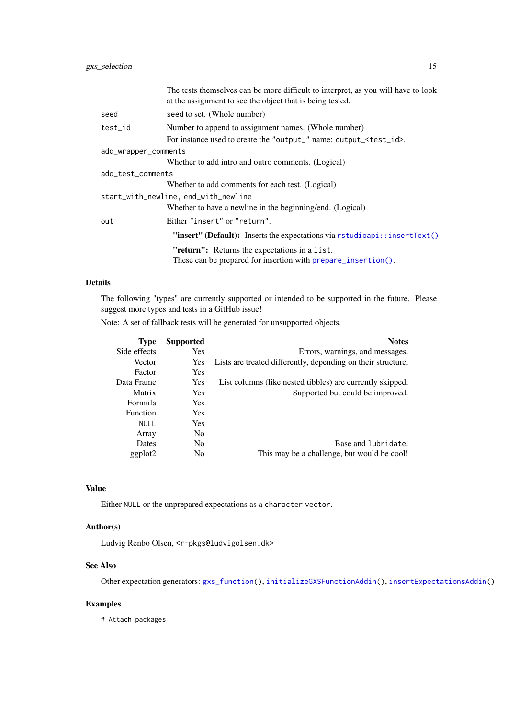<span id="page-14-0"></span>

|                      | The tests themselves can be more difficult to interpret, as you will have to look<br>at the assignment to see the object that is being tested. |  |
|----------------------|------------------------------------------------------------------------------------------------------------------------------------------------|--|
| seed                 | seed to set. (Whole number)                                                                                                                    |  |
| test_id              | Number to append to assignment names. (Whole number)                                                                                           |  |
|                      | For instance used to create the "output_" name: output_ <test_id>.</test_id>                                                                   |  |
| add_wrapper_comments |                                                                                                                                                |  |
|                      | Whether to add intro and outro comments. (Logical)                                                                                             |  |
| add_test_comments    |                                                                                                                                                |  |
|                      | Whether to add comments for each test. (Logical)                                                                                               |  |
|                      | start_with_newline, end_with_newline                                                                                                           |  |
|                      | Whether to have a newline in the beginning/end. (Logical)                                                                                      |  |
| out                  | Either "insert" or "return".                                                                                                                   |  |
|                      | "insert" (Default): Inserts the expectations via rstudioapi::insertText().                                                                     |  |
|                      | "return": Returns the expectations in a list.                                                                                                  |  |
|                      | These can be prepared for insertion with prepare_insertion().                                                                                  |  |

## Details

The following "types" are currently supported or intended to be supported in the future. Please suggest more types and tests in a GitHub issue!

Note: A set of fallback tests will be generated for unsupported objects.

| <b>Type</b>     | <b>Supported</b> | <b>Notes</b>                                                 |
|-----------------|------------------|--------------------------------------------------------------|
| Side effects    | <b>Yes</b>       | Errors, warnings, and messages.                              |
| Vector          | Yes              | Lists are treated differently, depending on their structure. |
| Factor          | <b>Yes</b>       |                                                              |
| Data Frame      | Yes              | List columns (like nested tibbles) are currently skipped.    |
| Matrix          | <b>Yes</b>       | Supported but could be improved.                             |
| Formula         | <b>Yes</b>       |                                                              |
| <b>Function</b> | <b>Yes</b>       |                                                              |
| <b>NULL</b>     | <b>Yes</b>       |                                                              |
| Array           | N <sub>0</sub>   |                                                              |
| Dates           | N <sub>0</sub>   | Base and lubridate.                                          |
| ggplot2         | No               | This may be a challenge, but would be cool!                  |

### Value

Either NULL or the unprepared expectations as a character vector.

## Author(s)

Ludvig Renbo Olsen, <r-pkgs@ludvigolsen.dk>

## See Also

Other expectation generators: [gxs\\_function\(](#page-9-1)), [initializeGXSFunctionAddin\(](#page-15-1)), [insertExpectationsAddin\(](#page-17-1))

## Examples

# Attach packages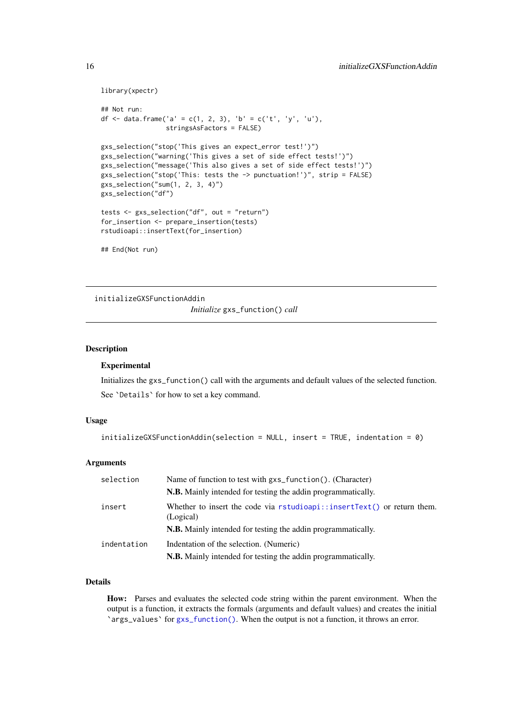```
library(xpectr)
```

```
## Not run:
df <- data.frame('a' = c(1, 2, 3), 'b' = c('t', 'y', 'u'),
                 stringsAsFactors = FALSE)
gxs_selection("stop('This gives an expect_error test!')")
gxs_selection("warning('This gives a set of side effect tests!')")
gxs_selection("message('This also gives a set of side effect tests!')")
gxs_selection("stop('This: tests the -> punctuation!')", strip = FALSE)
gxs_selection("sum(1, 2, 3, 4)")
gxs_selection("df")
tests <- gxs_selection("df", out = "return")
for_insertion <- prepare_insertion(tests)
rstudioapi::insertText(for_insertion)
```

```
## End(Not run)
```
<span id="page-15-1"></span>initializeGXSFunctionAddin *Initialize* gxs\_function() *call*

#### Description

#### Experimental

Initializes the gxs\_function() call with the arguments and default values of the selected function. See `Details` for how to set a key command.

#### Usage

```
initializeGXSFunctionAddin(selection = NULL, insert = TRUE, indentation = 0)
```
## Arguments

| selection   | Name of function to test with gxs_function(). (Character)                              |
|-------------|----------------------------------------------------------------------------------------|
|             | N.B. Mainly intended for testing the addin programmatically.                           |
| insert      | Whether to insert the code via $rstudioapi::insertText()$ or return them.<br>(Logical) |
|             | <b>N.B.</b> Mainly intended for testing the addin programmatically.                    |
| indentation | Indentation of the selection. (Numeric)                                                |
|             | <b>N.B.</b> Mainly intended for testing the addin programmatically.                    |

#### Details

How: Parses and evaluates the selected code string within the parent environment. When the output is a function, it extracts the formals (arguments and default values) and creates the initial `args\_values` for [gxs\\_function\(\)](#page-0-0). When the output is not a function, it throws an error.

<span id="page-15-0"></span>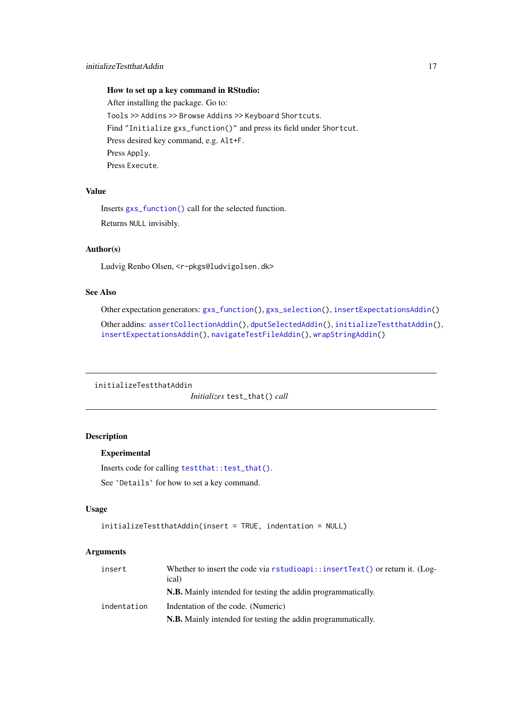<span id="page-16-0"></span>How to set up a key command in RStudio: After installing the package. Go to: Tools >> Addins >> Browse Addins >> Keyboard Shortcuts. Find "Initialize gxs\_function()" and press its field under Shortcut. Press desired key command, e.g. Alt+F. Press Apply. Press Execute.

### Value

Inserts [gxs\\_function\(\)](#page-0-0) call for the selected function. Returns NULL invisibly.

#### Author(s)

Ludvig Renbo Olsen, <r-pkgs@ludvigolsen.dk>

## See Also

Other expectation generators: [gxs\\_function\(](#page-9-1)), [gxs\\_selection\(](#page-12-1)), [insertExpectationsAddin\(](#page-17-1))

Other addins: [assertCollectionAddin\(](#page-1-1)), [dputSelectedAddin\(](#page-5-1)), [initializeTestthatAddin\(](#page-16-1)), [insertExpectationsAddin\(](#page-17-1)), [navigateTestFileAddin\(](#page-19-1)), [wrapStringAddin\(](#page-29-1))

<span id="page-16-1"></span>initializeTestthatAddin

*Initializes* test\_that() *call*

## Description

## Experimental

Inserts code for calling [testthat::test\\_that\(\)](#page-0-0).

See `Details` for how to set a key command.

## Usage

```
initializeTestthatAddin(insert = TRUE, indentation = NULL)
```
#### Arguments

| insert      | Whether to insert the code via $rstudioapi$ : insertText() or return it. (Log-<br>ical) |
|-------------|-----------------------------------------------------------------------------------------|
|             | <b>N.B.</b> Mainly intended for testing the addin programmatically.                     |
| indentation | Indentation of the code. (Numeric)                                                      |
|             | <b>N.B.</b> Mainly intended for testing the addin programmatically.                     |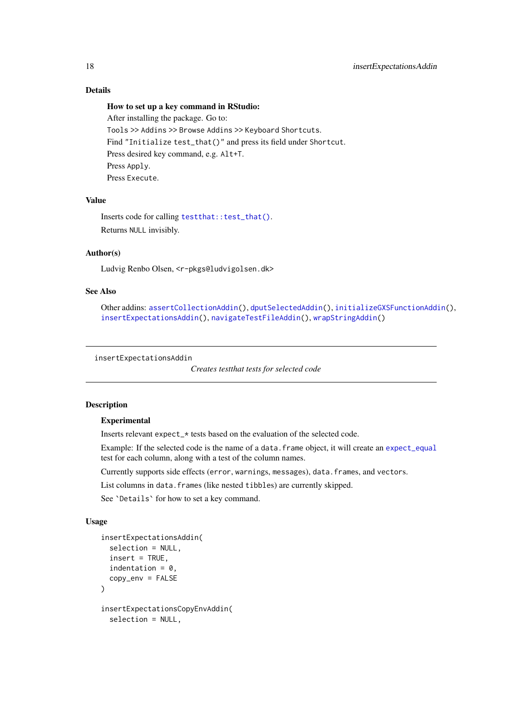## Details

## How to set up a key command in RStudio:

After installing the package. Go to: Tools >> Addins >> Browse Addins >> Keyboard Shortcuts. Find "Initialize test\_that()" and press its field under Shortcut. Press desired key command, e.g. Alt+T. Press Apply. Press Execute.

## Value

Inserts code for calling [testthat::test\\_that\(\)](#page-0-0). Returns NULL invisibly.

#### Author(s)

Ludvig Renbo Olsen, <r-pkgs@ludvigolsen.dk>

#### See Also

```
Other addins: assertCollectionAddin(), dputSelectedAddin(), initializeGXSFunctionAddin(),
insertExpectationsAddin(), navigateTestFileAddin(), wrapStringAddin()
```
<span id="page-17-1"></span>insertExpectationsAddin

*Creates testthat tests for selected code*

#### Description

## Experimental

Inserts relevant expect\_\* tests based on the evaluation of the selected code.

Example: If the selected code is the name of a data.frame object, it will create an [expect\\_equal](#page-0-0) test for each column, along with a test of the column names.

Currently supports side effects (error, warnings, messages), data.frames, and vectors.

List columns in data. frames (like nested tibbles) are currently skipped.

See `Details` for how to set a key command.

## Usage

```
insertExpectationsAddin(
  selection = NULL,
  insert = TRUE,
  indentation = 0,
  copy_env = FALSE
)
insertExpectationsCopyEnvAddin(
  selection = NULL,
```
<span id="page-17-0"></span>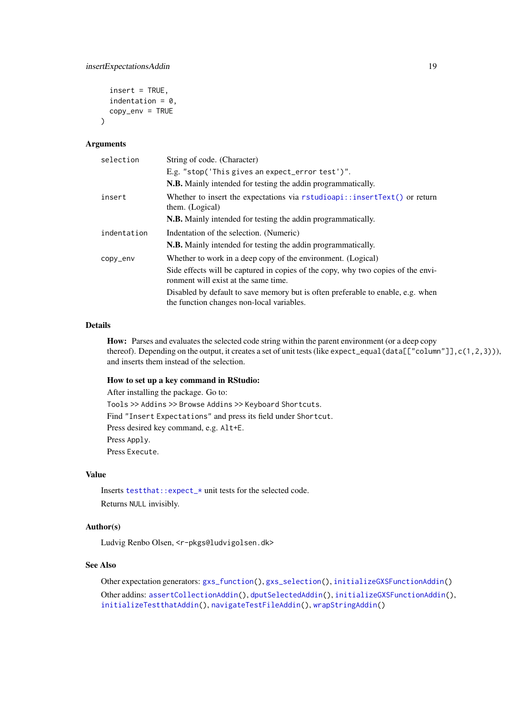```
insert = TRUE,indentation = 0,
copy\_env = TRUE
```
#### Arguments

)

| selection   | String of code. (Character)                                                                                                  |
|-------------|------------------------------------------------------------------------------------------------------------------------------|
|             | E.g. "stop('This gives an expect_error test')".                                                                              |
|             | N.B. Mainly intended for testing the addin programmatically.                                                                 |
| insert      | Whether to insert the expectations via $rstudioapi::insertText()$ or return<br>them. (Logical)                               |
|             | <b>N.B.</b> Mainly intended for testing the addin programmatically.                                                          |
| indentation | Indentation of the selection. (Numeric)                                                                                      |
|             | <b>N.B.</b> Mainly intended for testing the addin programmatically.                                                          |
| copy_env    | Whether to work in a deep copy of the environment. (Logical)                                                                 |
|             | Side effects will be captured in copies of the copy, why two copies of the envi-<br>ronment will exist at the same time.     |
|             | Disabled by default to save memory but is often preferable to enable, e.g. when<br>the function changes non-local variables. |

## Details

How: Parses and evaluates the selected code string within the parent environment (or a deep copy thereof). Depending on the output, it creates a set of unit tests (like expect\_equal(data[["column"]],c(1,2,3))), and inserts them instead of the selection.

## How to set up a key command in RStudio:

After installing the package. Go to: Tools >> Addins >> Browse Addins >> Keyboard Shortcuts. Find "Insert Expectations" and press its field under Shortcut. Press desired key command, e.g. Alt+E. Press Apply. Press Execute.

#### Value

Inserts [testthat::expect\\_\\*](#page-0-0) unit tests for the selected code. Returns NULL invisibly.

## Author(s)

Ludvig Renbo Olsen, <r-pkgs@ludvigolsen.dk>

## See Also

Other expectation generators: [gxs\\_function\(](#page-9-1)), [gxs\\_selection\(](#page-12-1)), [initializeGXSFunctionAddin\(](#page-15-1)) Other addins: [assertCollectionAddin\(](#page-1-1)), [dputSelectedAddin\(](#page-5-1)), [initializeGXSFunctionAddin\(](#page-15-1)), [initializeTestthatAddin\(](#page-16-1)), [navigateTestFileAddin\(](#page-19-1)), [wrapStringAddin\(](#page-29-1))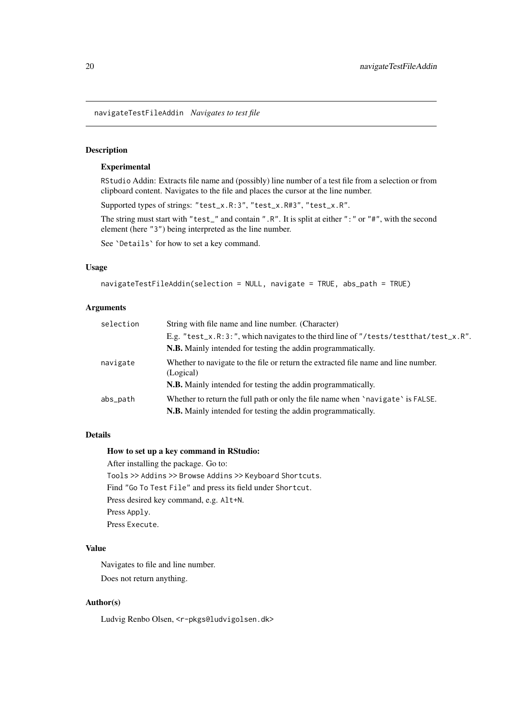<span id="page-19-1"></span><span id="page-19-0"></span>navigateTestFileAddin *Navigates to test file*

## Description

#### Experimental

RStudio Addin: Extracts file name and (possibly) line number of a test file from a selection or from clipboard content. Navigates to the file and places the cursor at the line number.

Supported types of strings: "test\_x.R:3", "test\_x.R#3", "test\_x.R".

The string must start with "test\_" and contain ".R". It is split at either ":" or "#", with the second element (here "3") being interpreted as the line number.

See `Details` for how to set a key command.

#### Usage

```
navigateTestFileAddin(selection = NULL, navigate = TRUE, abs_path = TRUE)
```
#### Arguments

| selection | String with file name and line number. (Character)                                              |
|-----------|-------------------------------------------------------------------------------------------------|
|           | E.g. "test_x.R:3:", which navigates to the third line of "/tests/testthat/test_x.R".            |
|           | <b>N.B.</b> Mainly intended for testing the addin programmatically.                             |
| navigate  | Whether to navigate to the file or return the extracted file name and line number.<br>(Logical) |
|           | <b>N.B.</b> Mainly intended for testing the addin programmatically.                             |
| abs_path  | Whether to return the full path or only the file name when 'navigate' is FALSE.                 |
|           | <b>N.B.</b> Mainly intended for testing the addin programmatically.                             |

#### Details

#### How to set up a key command in RStudio:

After installing the package. Go to:

Tools >> Addins >> Browse Addins >> Keyboard Shortcuts. Find "Go To Test File" and press its field under Shortcut. Press desired key command, e.g. Alt+N. Press Apply. Press Execute.

## Value

Navigates to file and line number.

Does not return anything.

## Author(s)

Ludvig Renbo Olsen, <r-pkgs@ludvigolsen.dk>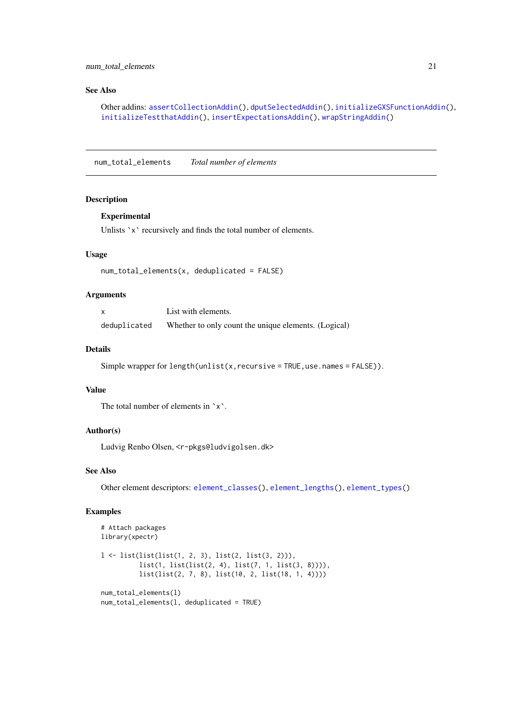#### <span id="page-20-0"></span>num\_total\_elements 21

#### See Also

```
Other addins: assertCollectionAddin(), dputSelectedAddin(), initializeGXSFunctionAddin(),
initializeTestthatAddin(), insertExpectationsAddin(), wrapStringAddin()
```
<span id="page-20-1"></span>num\_total\_elements *Total number of elements*

## Description

#### Experimental

Unlists `x` recursively and finds the total number of elements.

#### Usage

```
num_total_elements(x, deduplicated = FALSE)
```
## Arguments

|              | List with elements.                                  |
|--------------|------------------------------------------------------|
| deduplicated | Whether to only count the unique elements. (Logical) |

## Details

```
Simple wrapper for length(unlist(x,recursive = TRUE, use.names = FALSE)).
```
## Value

The total number of elements in `x`.

#### Author(s)

Ludvig Renbo Olsen, <r-pkgs@ludvigolsen.dk>

#### See Also

Other element descriptors: [element\\_classes\(](#page-6-1)), [element\\_lengths\(](#page-7-1)), [element\\_types\(](#page-8-1))

```
# Attach packages
library(xpectr)
l <- list(list(list(1, 2, 3), list(2, list(3, 2))),
          list(1, list(list(2, 4), list(7, 1, list(3, 8)))),
          list(list(2, 7, 8), list(10, 2, list(18, 1, 4))))
num_total_elements(l)
num_total_elements(l, deduplicated = TRUE)
```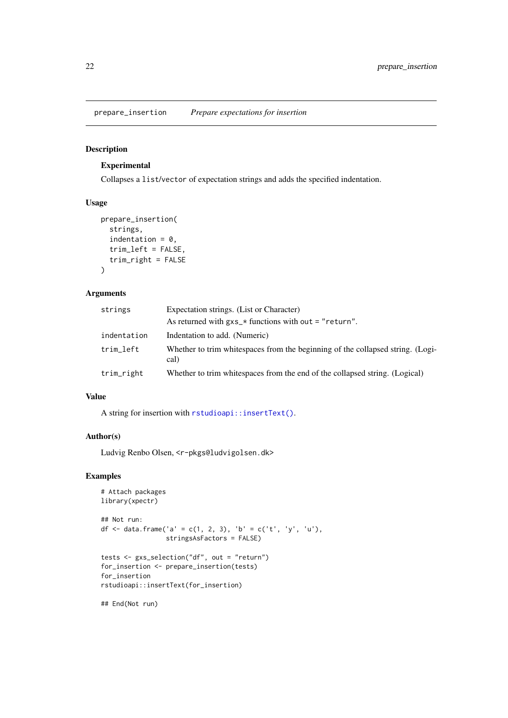<span id="page-21-0"></span>prepare\_insertion *Prepare expectations for insertion*

## Description

## Experimental

Collapses a list/vector of expectation strings and adds the specified indentation.

## Usage

```
prepare_insertion(
  strings,
  indentation = 0,
  trim_left = FALSE,
  trim_right = FALSE
\lambda
```
## Arguments

| strings     | Expectation strings. (List or Character)                                               |
|-------------|----------------------------------------------------------------------------------------|
|             | As returned with $gxs_{\perp}$ functions with out = "return".                          |
| indentation | Indentation to add. (Numeric)                                                          |
| trim_left   | Whether to trim whitespaces from the beginning of the collapsed string. (Logi-<br>cal) |
| trim_right  | Whether to trim whitespaces from the end of the collapsed string. (Logical)            |

## Value

A string for insertion with [rstudioapi::insertText\(\)](#page-0-0).

## Author(s)

Ludvig Renbo Olsen, <r-pkgs@ludvigolsen.dk>

#### Examples

```
# Attach packages
library(xpectr)
## Not run:
df <- data.frame('a' = c(1, 2, 3), 'b' = c('t', 'y', 'u'),
                 stringsAsFactors = FALSE)
tests <- gxs_selection("df", out = "return")
for_insertion <- prepare_insertion(tests)
for_insertion
rstudioapi::insertText(for_insertion)
```
## End(Not run)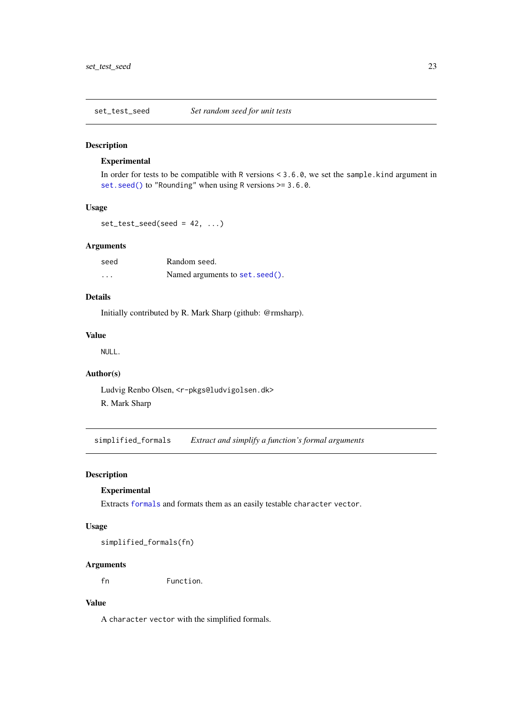<span id="page-22-0"></span>set\_test\_seed *Set random seed for unit tests*

## Description

## Experimental

In order for tests to be compatible with R versions < 3.6.0, we set the sample.kind argument in [set.seed\(\)](#page-0-0) to "Rounding" when using R versions >= 3.6.0.

#### Usage

```
set\_test\_seed(seed = 42, ...)
```
#### Arguments

| seed     | Random seed.                    |
|----------|---------------------------------|
| $\cdots$ | Named arguments to set. seed(). |

## Details

Initially contributed by R. Mark Sharp (github: @rmsharp).

## Value

NULL.

## Author(s)

Ludvig Renbo Olsen, <r-pkgs@ludvigolsen.dk> R. Mark Sharp

simplified\_formals *Extract and simplify a function's formal arguments*

## Description

## Experimental

Extracts [formals](#page-0-0) and formats them as an easily testable character vector.

## Usage

simplified\_formals(fn)

#### Arguments

fn Function.

## Value

A character vector with the simplified formals.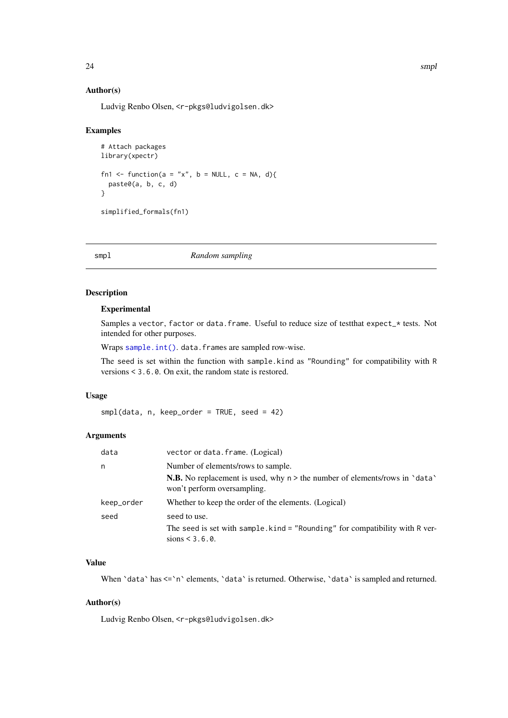## <span id="page-23-0"></span>Author(s)

Ludvig Renbo Olsen, <r-pkgs@ludvigolsen.dk>

## Examples

```
# Attach packages
library(xpectr)
fn1 <- function(a = "x", b = NULL, c = NA, d){
  paste0(a, b, c, d)
}
simplified_formals(fn1)
```
smpl *Random sampling*

## Description

#### Experimental

Samples a vector, factor or data.frame. Useful to reduce size of testthat expect\_\* tests. Not intended for other purposes.

Wraps [sample.int\(\)](#page-0-0). data.frames are sampled row-wise.

The seed is set within the function with sample.kind as "Rounding" for compatibility with R versions < 3.6.0. On exit, the random state is restored.

## Usage

 $smpl(data, n, keep-order = TRUE, seed = 42)$ 

## Arguments

| data       | vector or data. frame. (Logical)                                                                                                   |
|------------|------------------------------------------------------------------------------------------------------------------------------------|
| n          | Number of elements/rows to sample.                                                                                                 |
|            | <b>N.B.</b> No replacement is used, why $n >$ the number of elements/rows in $\hat{}$ data $\hat{}$<br>won't perform oversampling. |
| keep_order | Whether to keep the order of the elements. (Logical)                                                                               |
| seed       | seed to use.                                                                                                                       |
|            | The seed is set with sample. kind = "Rounding" for compatibility with R ver-<br>sions $< 3.6.0$ .                                  |

## Value

When 'data' has  $\leq$ 'n' elements, 'data' is returned. Otherwise, 'data' is sampled and returned.

## Author(s)

Ludvig Renbo Olsen, <r-pkgs@ludvigolsen.dk>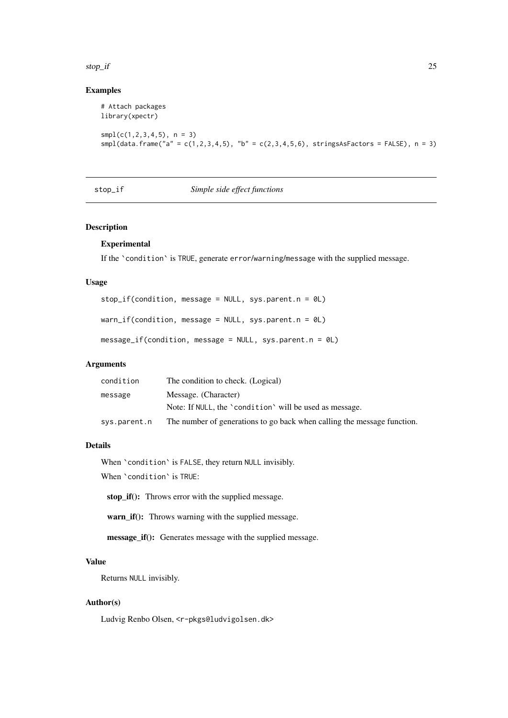#### <span id="page-24-0"></span>stop\_if 25

## Examples

```
# Attach packages
library(xpectr)
smpl(c(1,2,3,4,5), n = 3)smpl(data.frame("a" = c(1,2,3,4,5), "b" = c(2,3,4,5,6), stringsAsFactors = FALSE), n = 3)
```
#### stop\_if *Simple side effect functions*

#### Description

#### Experimental

If the `condition` is TRUE, generate error/warning/message with the supplied message.

#### Usage

```
stop_if(condition, message = NULL, sys.parent.n = 0L)warn_if(condition, message = NULL, sys.parent.n = 0L)
message_if(condition, message = NULL, sys.parent.n = 0L)
```
## Arguments

| condition    | The condition to check. (Logical)                                       |
|--------------|-------------------------------------------------------------------------|
| message      | Message. (Character)                                                    |
|              | Note: If NULL, the 'condition' will be used as message.                 |
| sys.parent.n | The number of generations to go back when calling the message function. |

#### Details

When 'condition' is FALSE, they return NULL invisibly.

When `condition` is TRUE:

stop\_if(): Throws error with the supplied message.

warn\_if(): Throws warning with the supplied message.

message\_if(): Generates message with the supplied message.

## Value

Returns NULL invisibly.

## Author(s)

Ludvig Renbo Olsen, <r-pkgs@ludvigolsen.dk>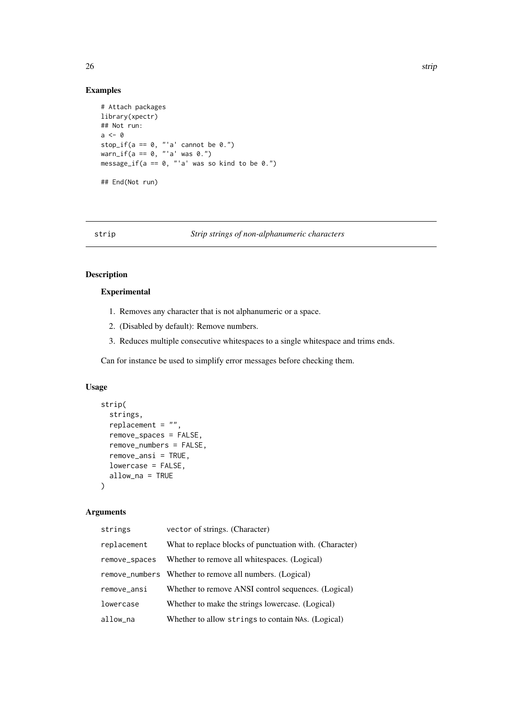## <span id="page-25-0"></span>Examples

```
# Attach packages
library(xpectr)
## Not run:
a \leftarrow 0stop_if(a == 0, "a' cannot be 0.")warn_if(a == 0, "'a' was 0.")
message_if(a == 0, "'a' was so kind to be 0.")
## End(Not run)
```
#### <span id="page-25-1"></span>strip *Strip strings of non-alphanumeric characters*

## Description

#### Experimental

- 1. Removes any character that is not alphanumeric or a space.
- 2. (Disabled by default): Remove numbers.
- 3. Reduces multiple consecutive whitespaces to a single whitespace and trims ends.

Can for instance be used to simplify error messages before checking them.

## Usage

```
strip(
  strings,
  replacement = "",
  remove_spaces = FALSE,
  remove_numbers = FALSE,
  remove_ansi = TRUE,
  lowercase = FALSE,
  allow_na = TRUE
\lambda
```
#### Arguments

| strings       | vector of strings. (Character)                          |
|---------------|---------------------------------------------------------|
| replacement   | What to replace blocks of punctuation with. (Character) |
| remove_spaces | Whether to remove all whitespaces. (Logical)            |
|               | remove_numbers Whether to remove all numbers. (Logical) |
| remove_ansi   | Whether to remove ANSI control sequences. (Logical)     |
| lowercase     | Whether to make the strings lowercase. (Logical)        |
| allow_na      | Whether to allow strings to contain NAs. (Logical)      |
|               |                                                         |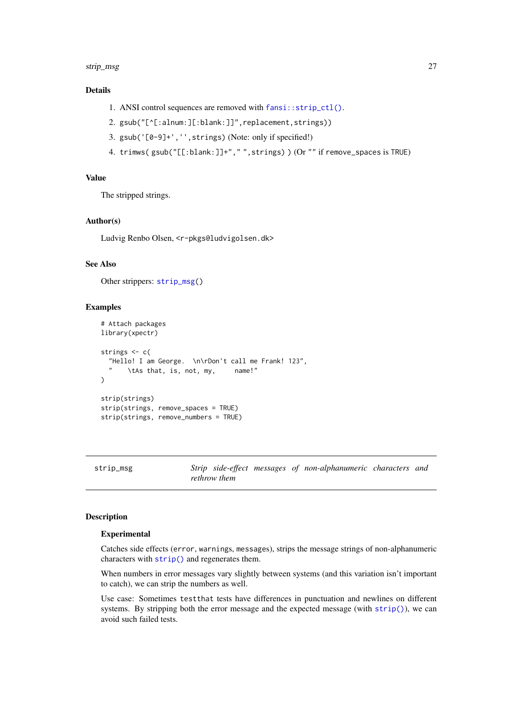#### <span id="page-26-0"></span>strip\_msg 27

## Details

- 1. ANSI control sequences are removed with [fansi::strip\\_ctl\(\)](#page-0-0).
- 2. gsub("[^[:alnum:][:blank:]]",replacement,strings))
- 3. gsub('[0-9]+','',strings) (Note: only if specified!)
- 4. trimws( gsub("[[:blank:]]+"," ",strings) ) (Or "" if remove\_spaces is TRUE)

## Value

The stripped strings.

## Author(s)

Ludvig Renbo Olsen, <r-pkgs@ludvigolsen.dk>

#### See Also

Other strippers: [strip\\_msg\(](#page-26-1))

## Examples

```
# Attach packages
library(xpectr)
strings <- c(
  "Hello! I am George. \n\rDon't call me Frank! 123",
      \tAs that, is, not, my, name!"
)
strip(strings)
strip(strings, remove_spaces = TRUE)
strip(strings, remove_numbers = TRUE)
```
<span id="page-26-1"></span>

strip\_msg *Strip side-effect messages of non-alphanumeric characters and rethrow them*

#### Description

#### Experimental

Catches side effects (error, warnings, messages), strips the message strings of non-alphanumeric characters with [strip\(\)](#page-0-0) and regenerates them.

When numbers in error messages vary slightly between systems (and this variation isn't important to catch), we can strip the numbers as well.

Use case: Sometimes testthat tests have differences in punctuation and newlines on different systems. By stripping both the error message and the expected message (with [strip\(\)](#page-0-0)), we can avoid such failed tests.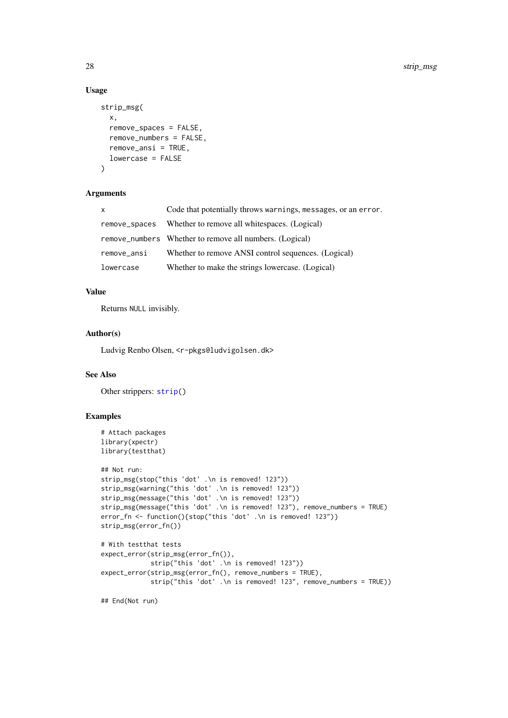## Usage

```
strip_msg(
  x,
  remove_spaces = FALSE,
  remove_numbers = FALSE,
  remove_ansi = TRUE,
  lowercase = FALSE
)
```
## Arguments

| $\mathsf{x}$  | Code that potentially throws warnings, messages, or an error. |
|---------------|---------------------------------------------------------------|
| remove_spaces | Whether to remove all whitespaces. (Logical)                  |
|               | remove_numbers Whether to remove all numbers. (Logical)       |
| remove_ansi   | Whether to remove ANSI control sequences. (Logical)           |
| lowercase     | Whether to make the strings lowercase. (Logical)              |

#### Value

Returns NULL invisibly.

## Author(s)

Ludvig Renbo Olsen, <r-pkgs@ludvigolsen.dk>

#### See Also

Other strippers: [strip\(](#page-25-1))

## Examples

```
# Attach packages
library(xpectr)
library(testthat)
## Not run:
strip_msg(stop("this 'dot' .\n is removed! 123"))
strip_msg(warning("this 'dot' .\n is removed! 123"))
strip_msg(message("this 'dot' .\n is removed! 123"))
strip_msg(message("this 'dot' .\n is removed! 123"), remove_numbers = TRUE)
error_fn <- function(){stop("this 'dot' .\n is removed! 123")}
strip_msg(error_fn())
# With testthat tests
expect_error(strip_msg(error_fn()),
            strip("this 'dot' .\n is removed! 123"))
expect_error(strip_msg(error_fn(), remove_numbers = TRUE),
             strip("this 'dot' .\n is removed! 123", remove_numbers = TRUE))
```
## End(Not run)

<span id="page-27-0"></span>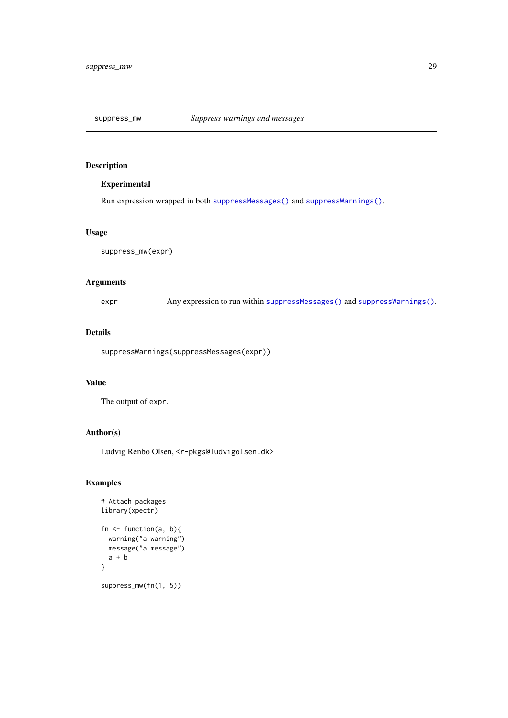<span id="page-28-0"></span>

## Experimental

Run expression wrapped in both [suppressMessages\(\)](#page-0-0) and [suppressWarnings\(\)](#page-0-0).

#### Usage

```
suppress_mw(expr)
```
## Arguments

expr Any expression to run within [suppressMessages\(\)](#page-0-0) and [suppressWarnings\(\)](#page-0-0).

## Details

suppressWarnings(suppressMessages(expr))

## Value

The output of expr.

## Author(s)

Ludvig Renbo Olsen, <r-pkgs@ludvigolsen.dk>

```
# Attach packages
library(xpectr)
fn \leq function(a, b){
  warning("a warning")
  message("a message")
  a + b}
suppress_mw(fn(1, 5))
```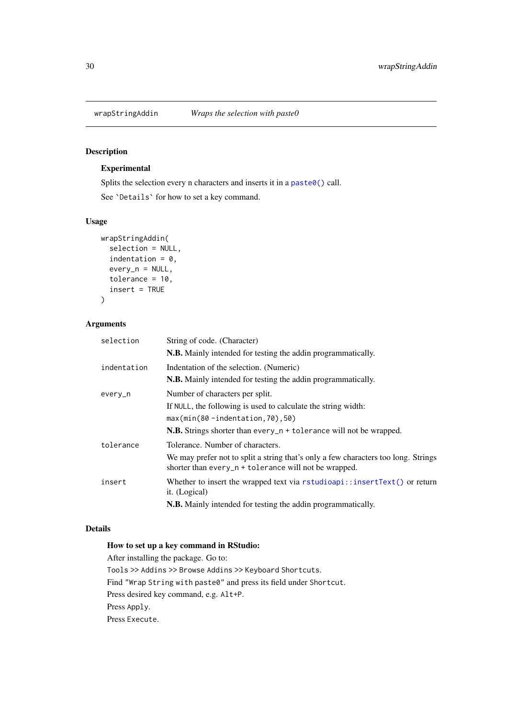<span id="page-29-1"></span><span id="page-29-0"></span>

## Experimental

Splits the selection every n characters and inserts it in a [paste0\(\)](#page-0-0) call.

See `Details` for how to set a key command.

## Usage

```
wrapStringAddin(
  selection = NULL,
  indentation = 0,
  every_n = NULL,
  tolerance = 10,
  insert = TRUE
)
```
## Arguments

| selection   | String of code. (Character)                                                                                                                 |
|-------------|---------------------------------------------------------------------------------------------------------------------------------------------|
|             | N.B. Mainly intended for testing the addin programmatically.                                                                                |
| indentation | Indentation of the selection. (Numeric)                                                                                                     |
|             | N.B. Mainly intended for testing the addin programmatically.                                                                                |
| every_n     | Number of characters per split.                                                                                                             |
|             | If NULL, the following is used to calculate the string width:                                                                               |
|             | $max(min(80 -indentation, 70), 50)$                                                                                                         |
|             | <b>N.B.</b> Strings shorter than every $n +$ to lerance will not be wrapped.                                                                |
| tolerance   | Tolerance. Number of characters.                                                                                                            |
|             | We may prefer not to split a string that's only a few characters too long. Strings<br>shorter than every_n + tolerance will not be wrapped. |
| insert      | Whether to insert the wrapped text via rstudioapi::insertText() or return<br>it. (Logical)                                                  |
|             | <b>N.B.</b> Mainly intended for testing the addin programmatically.                                                                         |

## Details

## How to set up a key command in RStudio:

After installing the package. Go to: Tools >> Addins >> Browse Addins >> Keyboard Shortcuts. Find "Wrap String with paste0" and press its field under Shortcut. Press desired key command, e.g. Alt+P. Press Apply.

Press Execute.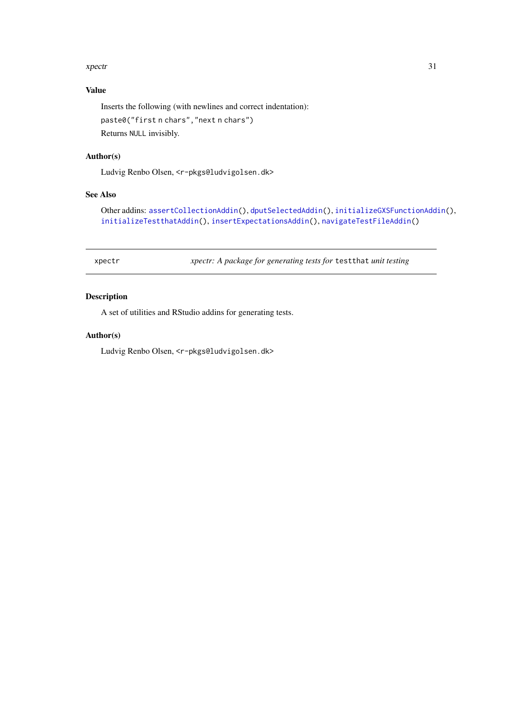#### <span id="page-30-0"></span>xpectr 31

## Value

Inserts the following (with newlines and correct indentation): paste0("first n chars","next n chars") Returns NULL invisibly.

#### Author(s)

Ludvig Renbo Olsen, <r-pkgs@ludvigolsen.dk>

## See Also

Other addins: [assertCollectionAddin\(](#page-1-1)), [dputSelectedAddin\(](#page-5-1)), [initializeGXSFunctionAddin\(](#page-15-1)), [initializeTestthatAddin\(](#page-16-1)), [insertExpectationsAddin\(](#page-17-1)), [navigateTestFileAddin\(](#page-19-1))

xpectr *xpectr: A package for generating tests for* testthat *unit testing*

## Description

A set of utilities and RStudio addins for generating tests.

## Author(s)

Ludvig Renbo Olsen, <r-pkgs@ludvigolsen.dk>